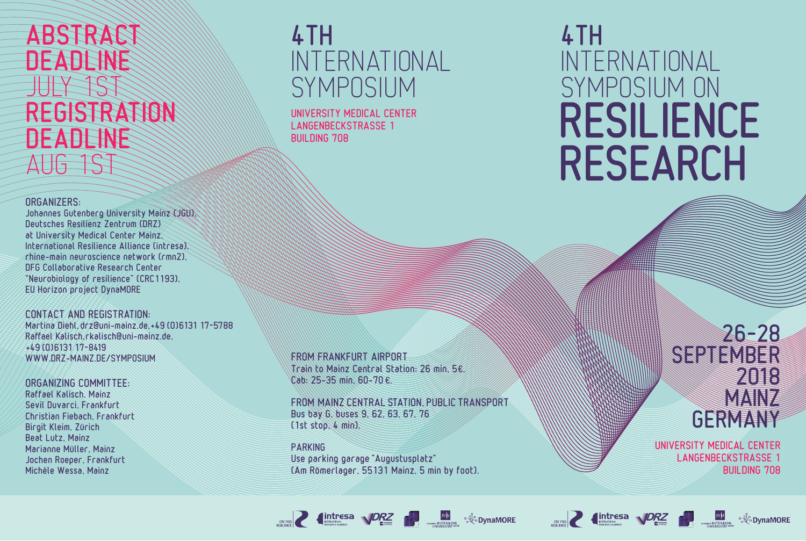# **ABSTRACT DEADLINE** JULY 1ST REGISTRATION DEADLINE AUG 1ST

ORGANIZERS:

Johannes Gutenberg University Mainz (JGU), Deutsches Resilienz Zentrum (DRZ) at University Medical Center Mainz, International Resilience Alliance (intresa), rhine-main neuroscience network (rmn2), DFG Collaborative Research Center "Neurobiology of resilience" (CRC1193), EU Horizon project DynaMORE

CONTACT AND REGISTRATION: Martina Diehl, drz@uni-mainz.de, +49 (0)6131 17-5788 Raffael Kalisch, rkalisch@uni-mainz.de, +49 (0)6131 17-8419 WWW.DRZ-MAINZ.DE/SYMPOSIUM

ORGANIZING COMMITTEE:

Raffael Kalisch, Mainz Sevil Duvarci, Frankfurt Christian Fiebach, Frankfurt Birgit Kleim, Zürich Beat Lutz, Mainz Marianne Müller, Mainz Jochen Roeper, Frankfurt Michèle Wessa, Mainz

# 4TH INTERNATIONAL SYMPOSIUM

UNIVERSITY MEDICAL CENTER LANGENBECKSTRASSE 1 BUILDING 708

FROM FRANKFURT AIRPORT Train to Mainz Central Station: 26 min, 5€. Cab: 25-35 min, 60-70 €.

FROM MAINZ CENTRAL STATION, PUBLIC TRANSPORT Bus bay G, buses 9, 62, 63, 67, 76 (1st stop, 4 min).

**SECRET AND TO BE A SECRET AND RELATED AND RELATION CONTINUES.** 

**PARKING** Use parking garage "Augustusplatz" (Am Römerlager, 55131 Mainz, 5 min by foot).

# 4TH INTERNATIONAL SYMPOSIUM ON RESILIENCE RESEARCH

26– 28 SEPTEMBER 2018 **MAIN** GERMANY

UNIVERSITY MEDICAL CENTER LANGENBECKSTRASSE 1 BUILDING 708